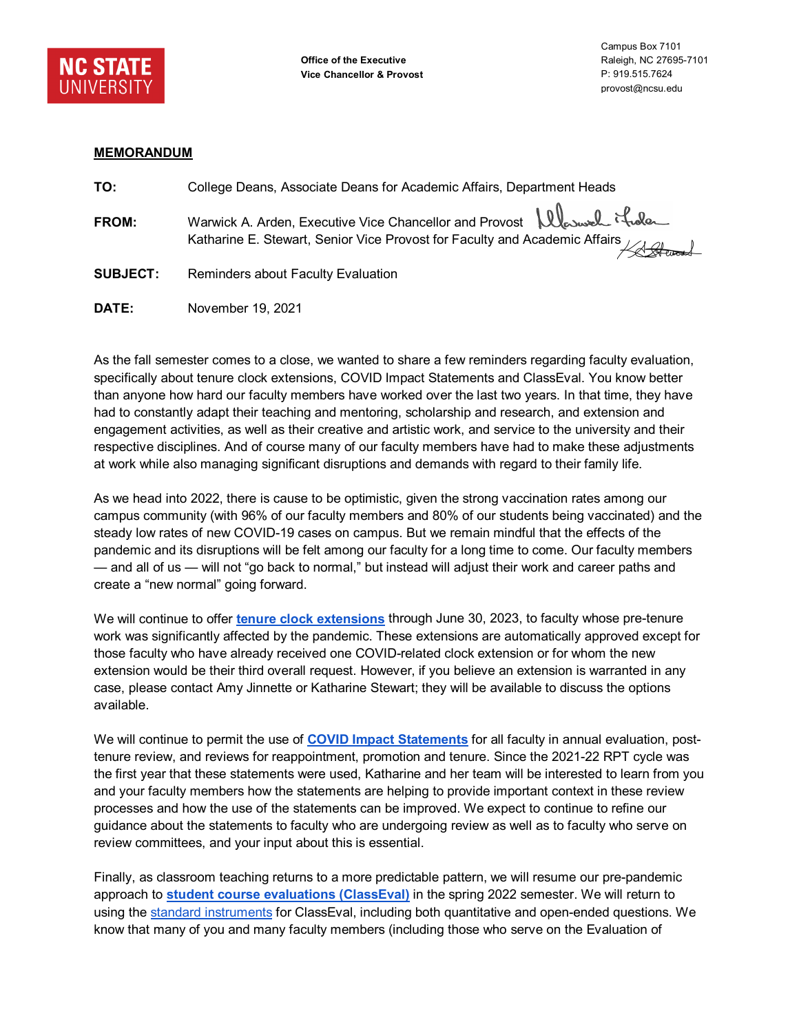

## **MEMORANDUM**

| TO:             | College Deans, Associate Deans for Academic Affairs, Department Heads                                                                                                             |
|-----------------|-----------------------------------------------------------------------------------------------------------------------------------------------------------------------------------|
| <b>FROM:</b>    | Warwick A. Arden, Executive Vice Chancellor and Provost   lleswel it dele<br>ran with All Processes<br>Katharine E. Stewart, Senior Vice Provost for Faculty and Academic Affairs |
| <b>SUBJECT:</b> | <b>Reminders about Faculty Evaluation</b>                                                                                                                                         |

**DATE:** November 19, 2021

As the fall semester comes to a close, we wanted to share a few reminders regarding faculty evaluation, specifically about tenure clock extensions, COVID Impact Statements and ClassEval. You know better than anyone how hard our faculty members have worked over the last two years. In that time, they have had to constantly adapt their teaching and mentoring, scholarship and research, and extension and engagement activities, as well as their creative and artistic work, and service to the university and their respective disciplines. And of course many of our faculty members have had to make these adjustments at work while also managing significant disruptions and demands with regard to their family life.

As we head into 2022, there is cause to be optimistic, given the strong vaccination rates among our campus community (with 96% of our faculty members and 80% of our students being vaccinated) and the steady low rates of new COVID-19 cases on campus. But we remain mindful that the effects of the pandemic and its disruptions will be felt among our faculty for a long time to come. Our faculty members — and all of us — will not "go back to normal," but instead will adjust their work and career paths and create a "new normal" going forward.

We will continue to offer **[tenure clock extensions](https://provost.ncsu.edu/news/2021/03/extending-the-deadline-for-pandemic-related-tenure-clock-extensions/)** through June 30, 2023, to faculty whose pre-tenure work was significantly affected by the pandemic. These extensions are automatically approved except for those faculty who have already received one COVID-related clock extension or for whom the new extension would be their third overall request. However, if you believe an extension is warranted in any case, please contact Amy Jinnette or Katharine Stewart; they will be available to discuss the options available.

We will continue to permit the use of **[COVID Impact Statements](https://provost.ncsu.edu/faculty-resources/faculty-evaluation-and-covid-19/)** for all faculty in annual evaluation, posttenure review, and reviews for reappointment, promotion and tenure. Since the 2021-22 RPT cycle was the first year that these statements were used, Katharine and her team will be interested to learn from you and your faculty members how the statements are helping to provide important context in these review processes and how the use of the statements can be improved. We expect to continue to refine our guidance about the statements to faculty who are undergoing review as well as to faculty who serve on review committees, and your input about this is essential.

Finally, as classroom teaching returns to a more predictable pattern, we will resume our pre-pandemic approach to **[student course evaluations \(ClassEval\)](https://isa.ncsu.edu/for-the-pack/classeval/)** in the spring 2022 semester. We will return to using the [standard instruments](https://isa.ncsu.edu/for-the-pack/classeval/about-classeval/instruments/) for ClassEval, including both quantitative and open-ended questions. We know that many of you and many faculty members (including those who serve on the Evaluation of